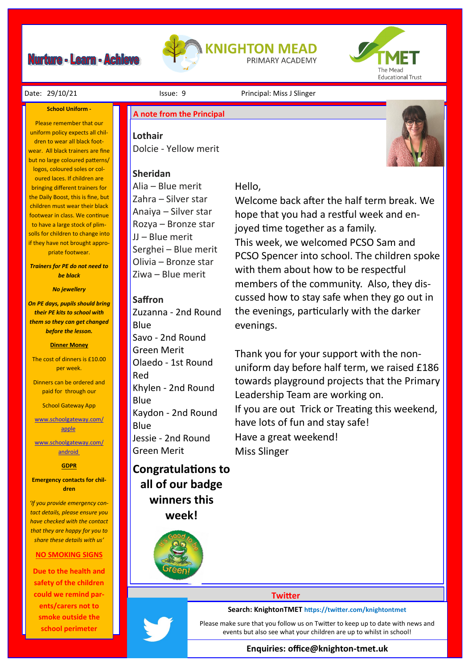# **Nurture - Learn - Achieve**





#### Date: 29/10/21 **Issue: 9** Principal: Miss J Slinger

#### **School Uniform -**

Please remember that our uniform policy expects all children to wear all black footwear. All black trainers are fine but no large coloured patterns/ logos, coloured soles or coloured laces. If children are bringing different trainers for the Daily Boost, this is fine, but children must wear their black footwear in class. We continue to have a large stock of plimsolls for children to change into if they have not brought appropriate footwear.

*Trainers for PE do not need to be black*

#### *No jewellery*

*On PE days, pupils should bring their PE kits to school with them so they can get changed before the lesson.*

#### **Dinner Money**

The cost of dinners is £10.00 per week.

Dinners can be ordered and paid for through our

School Gateway App

[www.schoolgateway.com/](http://www.schoolgateway.com/apple) [apple](http://www.schoolgateway.com/apple)

[www.schoolgateway.com/](http://www.schoolgateway.com/android) [android](http://www.schoolgateway.com/android)

#### **GDPR**

**Emergency contacts for children**

*'If you provide emergency contact details, please ensure you have checked with the contact that they are happy for you to share these details with us'*

#### **NO SMOKING SIGNS**

**Due to the health and safety of the children could we remind parents/carers not to smoke outside the school perimeter** 

# **A note from the Principal**

**Lothair** Dolcie - Yellow merit

### **Sheridan**

Alia – Blue merit Zahra – Silver star Anaiya – Silver star Rozya – Bronze star JJ – Blue merit Serghei – Blue merit Olivia – Bronze star Ziwa – Blue merit

#### **Saffron**

Zuzanna - 2nd Round **Blue** Savo - 2nd Round Green Merit Olaedo - 1st Round Red Khylen - 2nd Round Blue Kaydon - 2nd Round Blue Jessie - 2nd Round Green Merit

# **Congratulations to all of our badge winners this week!**

## Hello,

Welcome back after the half term break. We hope that you had a restful week and enjoyed time together as a family. This week, we welcomed PCSO Sam and PCSO Spencer into school. The children spoke with them about how to be respectful members of the community. Also, they discussed how to stay safe when they go out in the evenings, particularly with the darker evenings.

Thank you for your support with the nonuniform day before half term, we raised £186 towards playground projects that the Primary Leadership Team are working on. If you are out Trick or Treating this weekend, have lots of fun and stay safe! Have a great weekend! Miss Slinger

#### **Twitter**

#### **Search: KnightonTMET https://twitter.com/knightontmet**

Please make sure that you follow us on Twitter to keep up to date with news and events but also see what your children are up to whilst in school!

#### **Enquiries: office@knighton-tmet.uk**